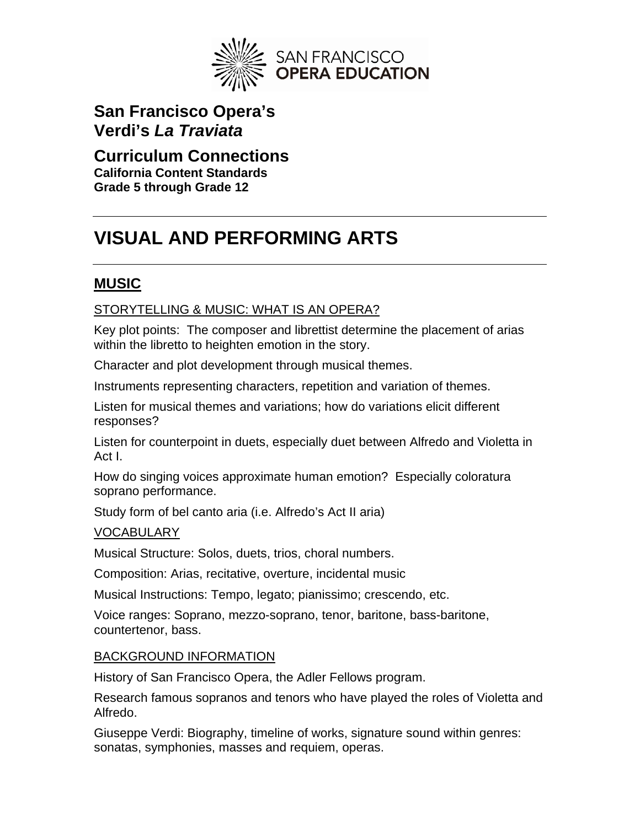

**San Francisco Opera's Verdi's** *La Traviata* 

# **Curriculum Connections**

**California Content Standards Grade 5 through Grade 12** 

# **VISUAL AND PERFORMING ARTS**

# **MUSIC**

### STORYTELLING & MUSIC: WHAT IS AN OPERA?

Key plot points: The composer and librettist determine the placement of arias within the libretto to heighten emotion in the story.

Character and plot development through musical themes.

Instruments representing characters, repetition and variation of themes.

Listen for musical themes and variations; how do variations elicit different responses?

Listen for counterpoint in duets, especially duet between Alfredo and Violetta in Act I.

How do singing voices approximate human emotion? Especially coloratura soprano performance.

Study form of bel canto aria (i.e. Alfredo's Act II aria)

#### VOCABULARY

Musical Structure: Solos, duets, trios, choral numbers.

Composition: Arias, recitative, overture, incidental music

Musical Instructions: Tempo, legato; pianissimo; crescendo, etc.

Voice ranges: Soprano, mezzo-soprano, tenor, baritone, bass-baritone, countertenor, bass.

#### BACKGROUND INFORMATION

History of San Francisco Opera, the Adler Fellows program.

Research famous sopranos and tenors who have played the roles of Violetta and Alfredo.

Giuseppe Verdi: Biography, timeline of works, signature sound within genres: sonatas, symphonies, masses and requiem, operas.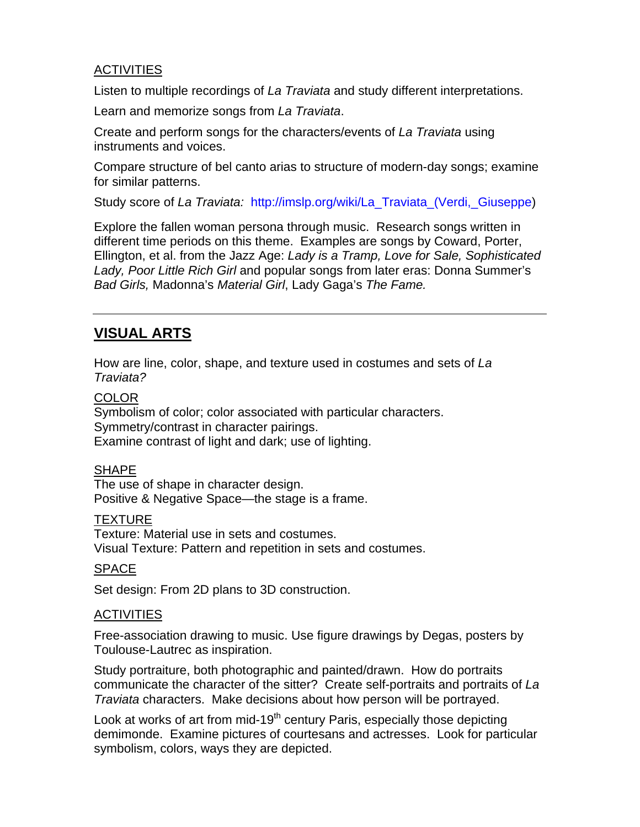#### **ACTIVITIES**

Listen to multiple recordings of *La Traviata* and study different interpretations.

Learn and memorize songs from *La Traviata*.

Create and perform songs for the characters/events of *La Traviata* using instruments and voices.

Compare structure of bel canto arias to structure of modern-day songs; examine for similar patterns.

Study score of *La Traviata:* [http://imslp.org/wiki/La\\_Traviata\\_\(Verdi,\\_Giuseppe\)](http://imslp.org/wiki/La_Traviata_(Verdi,_Giuseppe)

Explore the fallen woman persona through music. Research songs written in different time periods on this theme. Examples are songs by Coward, Porter, Ellington, et al. from the Jazz Age: *Lady is a Tramp, Love for Sale, Sophisticated Lady, Poor Little Rich Girl* and popular songs from later eras: Donna Summer's *Bad Girls,* Madonna's *Material Girl*, Lady Gaga's *The Fame.*

### **VISUAL ARTS**

How are line, color, shape, and texture used in costumes and sets of *La Traviata?*

#### **COLOR**

Symbolism of color; color associated with particular characters. Symmetry/contrast in character pairings. Examine contrast of light and dark; use of lighting.

#### SHAPE

The use of shape in character design. Positive & Negative Space—the stage is a frame.

#### **TEXTURE**

Texture: Material use in sets and costumes. Visual Texture: Pattern and repetition in sets and costumes.

#### SPACE

Set design: From 2D plans to 3D construction.

#### **ACTIVITIES**

Free-association drawing to music. Use figure drawings by Degas, posters by Toulouse-Lautrec as inspiration.

Study portraiture, both photographic and painted/drawn. How do portraits communicate the character of the sitter? Create self-portraits and portraits of *La Traviata* characters. Make decisions about how person will be portrayed.

Look at works of art from mid-19<sup>th</sup> century Paris, especially those depicting demimonde. Examine pictures of courtesans and actresses. Look for particular symbolism, colors, ways they are depicted.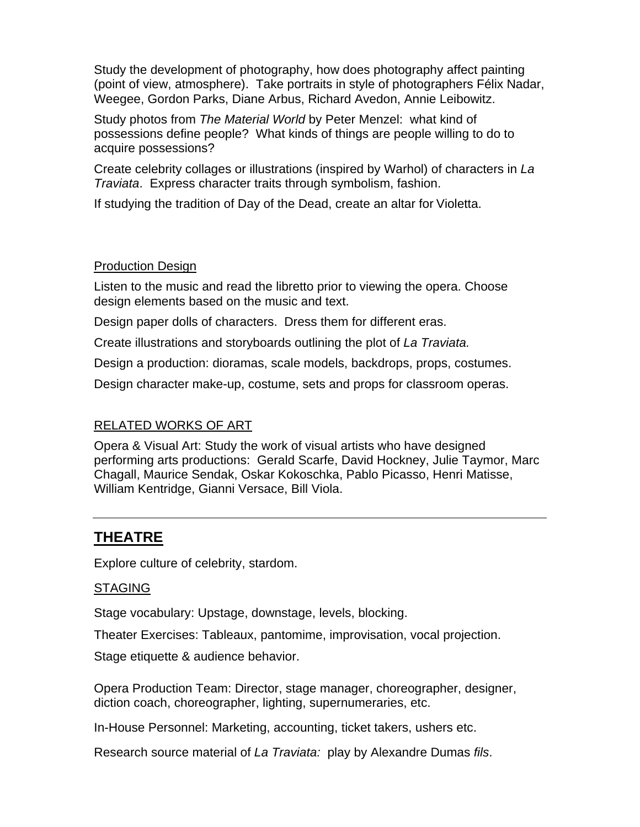Study the development of photography, how does photography affect painting (point of view, atmosphere). Take portraits in style of photographers Félix Nadar, Weegee, Gordon Parks, Diane Arbus, Richard Avedon, Annie Leibowitz.

Study photos from *The Material World* by Peter Menzel: what kind of possessions define people? What kinds of things are people willing to do to acquire possessions?

Create celebrity collages or illustrations (inspired by Warhol) of characters in *La Traviata*. Express character traits through symbolism, fashion.

If studying the tradition of Day of the Dead, create an altar for Violetta.

#### Production Design

Listen to the music and read the libretto prior to viewing the opera. Choose design elements based on the music and text.

Design paper dolls of characters. Dress them for different eras.

Create illustrations and storyboards outlining the plot of *La Traviata.* 

Design a production: dioramas, scale models, backdrops, props, costumes.

Design character make-up, costume, sets and props for classroom operas.

### RELATED WORKS OF ART

Opera & Visual Art: Study the work of visual artists who have designed performing arts productions: Gerald Scarfe, David Hockney, Julie Taymor, Marc Chagall, Maurice Sendak, Oskar Kokoschka, Pablo Picasso, Henri Matisse, William Kentridge, Gianni Versace, Bill Viola.

# **THEATRE**

Explore culture of celebrity, stardom.

#### STAGING

Stage vocabulary: Upstage, downstage, levels, blocking.

Theater Exercises: Tableaux, pantomime, improvisation, vocal projection.

Stage etiquette & audience behavior.

Opera Production Team: Director, stage manager, choreographer, designer, diction coach, choreographer, lighting, supernumeraries, etc.

In-House Personnel: Marketing, accounting, ticket takers, ushers etc.

Research source material of *La Traviata:* play by Alexandre Dumas *fils*.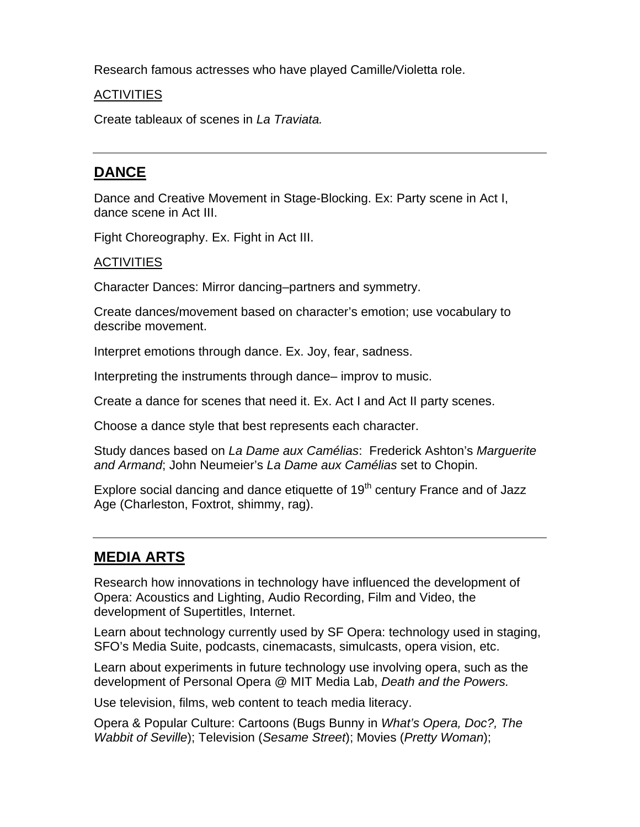Research famous actresses who have played Camille/Violetta role.

#### **ACTIVITIES**

Create tableaux of scenes in *La Traviata.*

## **DANCE**

Dance and Creative Movement in Stage-Blocking. Ex: Party scene in Act I, dance scene in Act III.

Fight Choreography. Ex. Fight in Act III.

#### **ACTIVITIES**

Character Dances: Mirror dancing–partners and symmetry.

Create dances/movement based on character's emotion; use vocabulary to describe movement.

Interpret emotions through dance. Ex. Joy, fear, sadness.

Interpreting the instruments through dance– improv to music.

Create a dance for scenes that need it. Ex. Act I and Act II party scenes.

Choose a dance style that best represents each character.

Study dances based on *La Dame aux Camélias*: Frederick Ashton's *Marguerite and Armand*; John Neumeier's *La Dame aux Camélias* set to Chopin.

Explore social dancing and dance etiquette of  $19<sup>th</sup>$  century France and of Jazz Age (Charleston, Foxtrot, shimmy, rag).

### **MEDIA ARTS**

Research how innovations in technology have influenced the development of Opera: Acoustics and Lighting, Audio Recording, Film and Video, the development of Supertitles, Internet.

Learn about technology currently used by SF Opera: technology used in staging, SFO's Media Suite, podcasts, cinemacasts, simulcasts, opera vision, etc.

Learn about experiments in future technology use involving opera, such as the development of Personal Opera @ MIT Media Lab, *Death and the Powers.* 

Use television, films, web content to teach media literacy.

Opera & Popular Culture: Cartoons (Bugs Bunny in *What's Opera, Doc?, The Wabbit of Seville*); Television (*Sesame Street*); Movies (*Pretty Woman*);